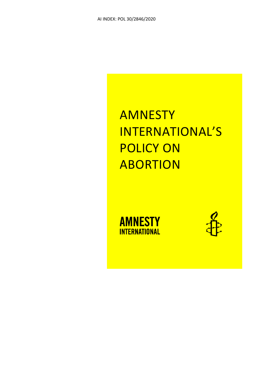# AMNESTY INTERNATIONAL'S POLICY ON ABORTION



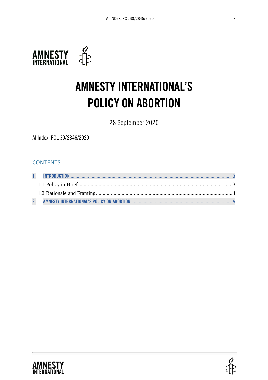

# AMNESTY INTERNATIONAL'S POLICY ON ABORTION

28 September 2020

AI Index: POL 30/2846/2020

## **CONTENTS**



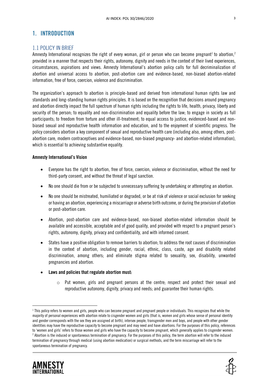## 1. INTRODUCTION

#### 1.1 POLICY IN BRIEF

Amnesty International recognizes the right of every woman, girl or person who can become pregnant<sup>1</sup> to abortion,<sup>2</sup> provided in a manner that respects their rights, autonomy, dignity and needs in the context of their lived experiences, circumstances, aspirations and views. Amnesty International's abortion policy calls for full decriminalization of abortion and universal access to abortion, post-abortion care and evidence-based, non-biased abortion-related information, free of force, coercion, violence and discrimination.

The organization's approach to abortion is principle-based and derived from international human rights law and standards and long-standing human rights principles. It is based on the recognition that decisions around pregnancy and abortion directly impact the full spectrum of human rights including the rights to life, health, privacy, liberty and security of the person; to equality and non-discrimination and equality before the law; to engage in society as full participants; to freedom from torture and other ill-treatment; to equal access to justice, evidenced-based and nonbiased sexual and reproductive health information and education, and to the enjoyment of scientific progress. The policy considers abortion a key component of sexual and reproductive health care (including also, among others, postabortion care, modern contraceptives and evidence-based, non-biased pregnancy- and abortion-related information), which is essential to achieving substantive equality.

#### Amnesty International's Vision

- Everyone has the right to abortion, free of force, coercion, violence or discrimination, without the need for third-party consent, and without the threat of legal sanction.
- No one should die from or be subjected to unnecessary suffering by undertaking or attempting an abortion.
- No one should be mistreated, humiliated or degraded, or be at risk of violence or social exclusion for seeking or having an abortion, experiencing a miscarriage or adverse birth outcome, or during the provision of abortion or post-abortion care.
- Abortion, post-abortion care and evidence-based, non-biased abortion-related information should be available and accessible, acceptable and of good quality, and provided with respect to a pregnant person's rights, autonomy, dignity, privacy and confidentiality, and with informed consent.
- States have a positive obligation to remove barriers to abortion; to address the root causes of discrimination in the context of abortion, including gender, racial, ethnic, class, caste, age and disability related discrimination, among others; and eliminate stigma related to sexuality, sex, disability, unwanted pregnancies and abortion.
- Laws and policies that regulate abortion must:
	- $\circ$  Put women, girls and pregnant persons at the centre; respect and protect their sexual and reproductive autonomy, dignity, privacy and needs; and guarantee their human rights.

 $^{\rm I}$  This policy refers to women and girls, people who can become pregnant and pregnant people or individuals. This recognizes that while the majority of personal experiences with abortion relate to cisgender women and girls (that is, women and girls whose sense of personal identity and gender corresponds with the sex they are assigned at birth), intersex people, transgender men and boys, and people with other gender identities may have the reproductive capacity to become pregnant and may need and have abortions. For the purposes of this policy, references to 'women and girls' refers to those women and girls who have the capacity to become pregnant, which generally applies to cisgender women. 2 Abortion is the induced or spontaneous termination of pregnancy. For the purposes of this policy, the term abortion will refer to the induced termination of pregnancy through medical (using abortion medication) or surgical methods, and the term miscarriage will refer to the spontaneous termination of pregnancy.

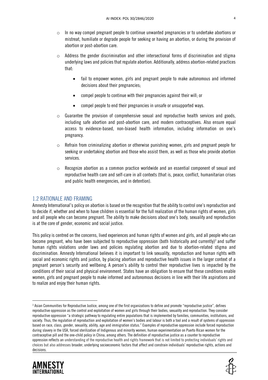- $\circ$  In no way compel pregnant people to continue unwanted pregnancies or to undertake abortions or mistreat, humiliate or degrade people for seeking or having an abortion, or during the provision of abortion or post-abortion care.
- $\circ$  Address the gender discrimination and other intersectional forms of discrimination and stigma underlying laws and policies that regulate abortion. Additionally, address abortion-related practices that:
	- fail to empower women, girls and pregnant people to make autonomous and informed decisions about their pregnancies;
	- compel people to continue with their pregnancies against their will; or
	- compel people to end their pregnancies in unsafe or unsupported ways.
- o Guarantee the provision of comprehensive sexual and reproductive health services and goods, including safe abortion and post-abortion care, and modern contraceptives. Also ensure equal access to evidence-based, non-biased health information, including information on one's pregnancy.
- Refrain from criminalizing abortion or otherwise punishing women, girls and pregnant people for seeking or undertaking abortion and those who assist them, as well as those who provide abortion services.
- $\circ$  Recognize abortion as a common practice worldwide and an essential component of sexual and reproductive health care and self-care in all contexts (that is, peace, conflict, humanitarian crises and public health emergencies, and in detention).

#### 1.2 RATIONALE AND FRAMING

Amnesty International's policy on abortion is based on the recognition that the ability to control one's reproduction and to decide if, whether and when to have children is essential for the full realization of the human rights of women, girls and all people who can become pregnant. The ability to make decisions about one's body, sexuality and reproduction is at the core of gender, economic and social justice.

This policy is centred on the concerns, lived experiences and human rights of women and girls, and all people who can become pregnant, who have been subjected to reproductive oppression (both historically and currently)<sup>3</sup> and suffer human rights violations under laws and policies regulating abortion and due to abortion-related stigma and discrimination. Amnesty International believes it is important to link sexuality, reproduction and human rights with social and economic rights and justice, by placing abortion and reproductive health issues in the larger context of a pregnant person's security and wellbeing. A person's ability to control their reproductive lives is impacted by the conditions of their social and physical environment. States have an obligation to ensure that these conditions enable women, girls and pregnant people to make informed and autonomous decisions in line with their life aspirations and to realize and enjoy their human rights.

<sup>3</sup> Asian Communities for Reproductive Justice, among one of the first organizations to define and promote "reproductive justice", defines reproductive oppression as the control and exploitation of women and girls through their bodies, sexuality and reproduction. They consider reproductive oppression "a strategic pathway to regulating entire populations that is implemented by families, communities, institutions, and society. Thus, the regulation of reproduction and exploitation of women's bodies and labour is both a tool and a result of systems of oppression based on race, class, gender, sexuality, ability, age and immigration status." Examples of reproductive oppression include forced reproduction during slavery in the USA, forced sterilization of Indigenous and minority women, human experimentation on Puerto Rican women for the contraceptive pill and the one-child policy in China, among others. The definition of reproductive justice as a counter to reproductive oppression reflects an understanding of the reproductive health and rights framework that is not limited to protecting individuals' rights and choices but also addresses broader, underlying socioeconomic factors that affect and constrain individuals' reproductive rights, actions and decisions.



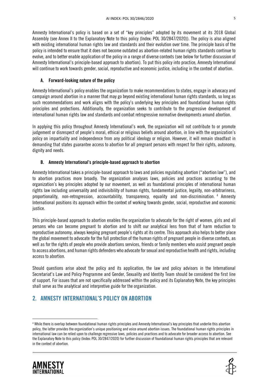Amnesty International's policy is based on a set of "key principles" adopted by its movement at its 2018 Global Assembly (see Annex II to the Explanatory Note to this policy (Index: POL 30/2847/2020)). The policy is also aligned with existing international human rights law and standards and their evolution over time. The principle basis of the policy is intended to ensure that it does not become outdated as abortion-related human rights standards continue to evolve, and to better enable application of the policy in a range of diverse contexts (see below for further discussion of Amnesty International's principle-based approach to abortion). To put this policy into practice, Amnesty International will continue to work towards gender, social, reproductive and economic justice, including in the context of abortion.

#### A. Forward-looking nature of the policy

Amnesty International's policy enables the organization to make recommendations to states, engage in advocacy and campaign around abortion in a manner that may go beyond existing international human rights standards, so long as such recommendations and work aligns with the policy's underlying key principles and foundational human rights principles and protections. Additionally, the organization seeks to contribute to the progressive development of international human rights law and standards and combat retrogressive normative developments around abortion.

In applying this policy throughout Amnesty International's work, the organization will not contribute to or promote judgement or disrespect of people's moral, ethical or religious beliefs around abortion, in line with the organization's policy on impartiality and independence from any political ideology or religion. However, it will remain steadfast in demanding that states guarantee access to abortion for all pregnant persons with respect for their rights, autonomy, dignity and needs.

#### B. Amnesty International's principle-based approach to abortion

Amnesty International takes a principle-based approach to laws and policies regulating abortion ("abortion law"), and to abortion practices more broadly. The organization analyses laws, policies and practices according to the organization's key principles adopted by our movement, as well as foundational principles of international human rights law including universality and indivisibility of human rights, fundamental justice, legality, non-arbitrariness, proportionality, non-retrogression, accountability, transparency, equality and non-discrimination. 4 Amnesty International positions its approach within the context of working towards gender, social, reproductive and economic justice.

This principle-based approach to abortion enables the organization to advocate for the right of women, girls and all persons who can become pregnant to abortion and to shift our analytical lens from that of harm reduction to reproductive autonomy, always keeping pregnant people's rights at its centre. This approach also helps to better place the global movement to advocate for the full protection of the human rights of pregnant people in diverse contexts, as well as for the rights of people who provide abortions services, friends or family members who assist pregnant people to access abortions, and human rights defenders who advocate for sexual and reproductive health and rights, including access to abortion.

Should questions arise about the policy and its application, the law and policy advisors in the International Secretariat's Law and Policy Programme and Gender, Sexuality and Identity Team should be considered the first line of support. For issues that are not specifically addressed within the policy and its Explanatory Note, the key principles shall serve as the analytical and interpretive guide for the organization.

## 2. AMNESTY INTERNATIONAL'S POLICY ON ABORTION

<sup>4</sup> While there is overlap between foundational human rights principles and Amnesty International's key principles that underlie this abortion policy, the latter provides the organization's unique positioning and voice around abortion issues. The foundational human rights principles in international law can be relied upon to challenge regressive laws, policies and practices and to advocate for broader access to abortion. See the Explanatory Note to this policy (Index: POL 30/2847/2020) for further discussion of foundational human rights principles that are relevant in the context of abortion.



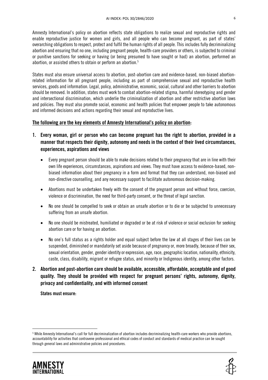Amnesty International's policy on abortion reflects state obligations to realize sexual and reproductive rights and enable reproductive justice for women and girls, and all people who can become pregnant, as part of states' overarching obligations to respect, protect and fulfil the human rights of all people. This includes fully decriminalizing abortion and ensuring that no one, including pregnant people, health-care providers or others, is subjected to criminal or punitive sanctions for seeking or having (or being presumed to have sought or had) an abortion, performed an abortion, or assisted others to obtain or perform an abortion. 5

States must also ensure universal access to abortion, post-abortion care and evidence-based, non-biased abortionrelated information for all pregnant people, including as part of comprehensive sexual and reproductive health services, goods and information. Legal, policy, administrative, economic, social, cultural and other barriers to abortion should be removed. In addition, states must work to combat abortion-related stigma, harmful stereotyping and gender and intersectional discrimination, which underlie the criminalization of abortion and other restrictive abortion laws and policies. They must also promote social, economic and health policies that empower people to take autonomous and informed decisions and actions regarding their sexual and reproductive lives.

#### The following are the key elements of Amnesty International's policy on abortion:

- 1. Every woman, girl or person who can become pregnant has the right to abortion, provided in a manner that respects their dignity, autonomy and needs in the context of their lived circumstances, experiences, aspirations and views
	- Every pregnant person should be able to make decisions related to their pregnancy that are in line with their own life experiences, circumstances, aspirations and views. They must have access to evidence-based, nonbiased information about their pregnancy in a form and format that they can understand, non-biased and non-directive counselling, and any necessary support to facilitate autonomous decision-making.
	- Abortions must be undertaken freely with the consent of the pregnant person and without force, coercion, violence or discrimination, the need for third-party consent, or the threat of legal sanction.
	- No one should be compelled to seek or obtain an unsafe abortion or to die or be subjected to unnecessary suffering from an unsafe abortion.
	- No one should be mistreated, humiliated or degraded or be at risk of violence or social exclusion for seeking abortion care or for having an abortion.
	- No one's full status as a rights holder and equal subject before the law at all stages of their lives can be suspended, diminished or mandatorily set aside because of pregnancy or, more broadly, because of their sex, sexual orientation, gender, gender identity or expression, age, race, geographic location, nationality, ethnicity, caste, class, disability, migrant or refugee status, and minority or Indigenous identity, among other factors.
- 2. Abortion and post-abortion care should be available, accessible, affordable, acceptable and of good quality. They should be provided with respect for pregnant persons' rights, autonomy, dignity, privacy and confidentiality, and with informed consent

States must ensure:

<sup>5</sup> While Amnesty International's call for full decriminalization of abortion includes decriminalizing health-care workers who provide abortions, accountability for activities that contravene professional and ethical codes of conduct and standards of medical practice can be sought through general laws and administrative policies and procedures.



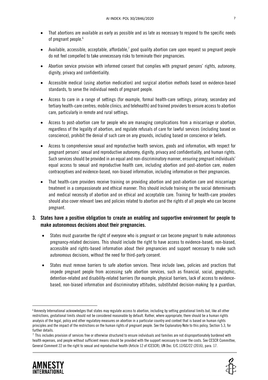- That abortions are available as early as possible and as late as necessary to respond to the specific needs of pregnant people. 6
- Available, accessible, acceptable, affordable,<sup>7</sup> good quality abortion care upon request so pregnant people do not feel compelled to take unnecessary risks to terminate their pregnancies.
- Abortion service provision with informed consent that complies with pregnant persons' rights, autonomy, dignity, privacy and confidentiality.
- Accessible medical (using abortion medication) and surgical abortion methods based on evidence-based standards, to serve the individual needs of pregnant people.
- Access to care in a range of settings (for example, formal health-care settings; primary, secondary and tertiary health-care centres; mobile clinics; and telehealth) and trained providers to ensure access to abortion care, particularly in remote and rural settings.
- Access to post-abortion care for people who are managing complications from a miscarriage or abortion, regardless of the legality of abortion, and regulate refusals of care for lawful services (including based on conscience), prohibit the denial of such care on any grounds, including based on conscience or beliefs.
- Access to comprehensive sexual and reproductive health services, goods and information, with respect for pregnant persons' sexual and reproductive autonomy, dignity, privacy and confidentiality, and human rights. Such services should be provided in an equal and non-discriminatory manner, ensuring pregnant individuals' equal access to sexual and reproductive health care, including abortion and post-abortion care, modern contraceptives and evidence-based, non-biased information, including information on their pregnancies.
- That health-care providers receive training on providing abortion and post-abortion care and miscarriage treatment in a compassionate and ethical manner. This should include training on the social determinants and medical necessity of abortion and on ethical and acceptable care. Training for health-care providers should also cover relevant laws and policies related to abortion and the rights of all people who can become pregnant.

### 3. States have a positive obligation to create an enabling and supportive environment for people to make autonomous decisions about their pregnancies.

- States must guarantee the right of everyone who is pregnant or can become pregnant to make autonomous pregnancy-related decisions. This should include the right to have access to evidence-based, non-biased, accessible and rights-based information about their pregnancies and support necessary to make such autonomous decisions, without the need for third-party consent.
- States must remove barriers to safe abortion services. These include laws, policies and practices that impede pregnant people from accessing safe abortion services, such as financial, social, geographic, detention-related and disability-related barriers (for example, physical barriers, lack of access to evidencebased, non-biased information and discriminatory attitudes, substituted decision-making by a guardian,

 $^\tau$  This includes provision of services free or otherwise structured to ensure individuals and families are not disproportionately burdened with health expenses, and people without sufficient means should be provided with the support necessary to cover the costs. See CESCR Committee, General Comment 22 on the right to sexual and reproductive health (Article 12 of ICESCR), UN Doc. E/C.12/GC/22 (2016), para. 17.





<sup>6</sup> Amnesty International acknowledges that states may regulate access to abortion, including by setting gestational limits but, like all other restrictions, gestational limits should not be considered reasonable by default. Rather, where appropriate, there should be a human rights analysis of the legal, policy and other regulatory measures on abortion in a particular country and context that is based on human rights principles and the impact of the restrictions on the human rights of pregnant people. See the Explanatory Note to this policy, Section 5.3, for further details.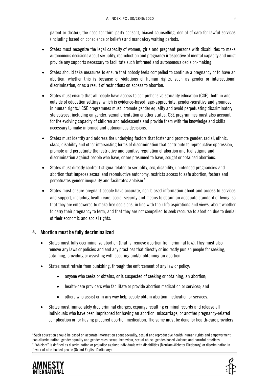parent or doctor), the need for third-party consent, biased counselling, denial of care for lawful services (including based on conscience or beliefs) and mandatory waiting periods.

- States must recognize the legal capacity of women, girls and pregnant persons with disabilities to make autonomous decisions about sexuality, reproduction and pregnancy irrespective of mental capacity and must provide any supports necessary to facilitate such informed and autonomous decision-making.
- States should take measures to ensure that nobody feels compelled to continue a pregnancy or to have an abortion, whether this is because of violations of human rights, such as gender or intersectional discrimination, or as a result of restrictions on access to abortion.
- States must ensure that all people have access to comprehensive sexuality education (CSE), both in and outside of education settings, which is evidence-based, age-appropriate, gender-sensitive and grounded in human rights.<sup>8</sup> CSE programmes must promote gender equality and avoid perpetuating discriminatory stereotypes, including on gender, sexual orientation or other status. CSE programmes must also account for the evolving capacity of children and adolescents and provide them with the knowledge and skills necessary to make informed and autonomous decisions.
- States must identify and address the underlying factors that foster and promote gender, racial, ethnic, class, disability and other intersecting forms of discrimination that contribute to reproductive oppression, promote and perpetuate the restrictive and punitive regulation of abortion and fuel stigma and discrimination against people who have, or are presumed to have, sought or obtained abortions.
- States must directly confront stigma related to sexuality, sex, disability, unintended pregnancies and abortion that impedes sexual and reproductive autonomy, restricts access to safe abortion, fosters and perpetuates gender inequality and facilitates ableism.<sup>9</sup>
- States must ensure pregnant people have accurate, non-biased information about and access to services and support, including health care, social security and means to obtain an adequate standard of living, so that they are empowered to make free decisions, in line with their life aspirations and views, about whether to carry their pregnancy to term, and that they are not compelled to seek recourse to abortion due to denial of their economic and social rights.

#### 4. Abortion must be fully decriminalized

- States must fully decriminalize abortion (that is, remove abortion from criminal law). They must also remove any laws or policies and end any practices that directly or indirectly punish people for seeking, obtaining, providing or assisting with securing and/or obtaining an abortion.
- States must refrain from punishing, through the enforcement of any law or policy:
	- anyone who seeks or obtains, or is suspected of seeking or obtaining, an abortion;
	- health-care providers who facilitate or provide abortion medication or services; and
	- others who assist or in any way help people obtain abortion medication or services.
- States must immediately drop criminal charges, expunge resulting criminal records and release all individuals who have been imprisoned for having an abortion, miscarriage, or another pregnancy-related complication or for having procured abortion medication. The same must be done for health-care providers

 $^{\rm 8}$ Such education should be based on accurate information about sexuality, sexual and reproductive health, human rights and empowerment, non-discrimination, gender equality and gender roles, sexual behaviour, sexual abuse, gender-based violence and harmful practices. 9 "Ableism" is defined as discrimination or prejudice against individuals with disabilities (Merriam-Webster Dictionary) or discrimination in favour of able-bodied people (Oxford English Dictionary).



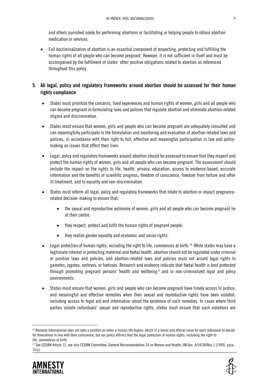and others punished solely for performing abortions or facilitating or helping people to obtain abortion medication or services.

 Full decriminalization of abortion is an essential component of respecting, protecting and fulfilling the human rights of all people who can become pregnant. However, it is not sufficient in itself and must be accompanied by the fulfilment of states' other positive obligations related to abortion as referenced throughout this policy.

### 5. All legal, policy and regulatory frameworks around abortion should be assessed for their human rights compliance

- States must prioritize the concerns, lived experiences and human rights of women, girls and all people who can become pregnant in formulating laws and policies that regulate abortion and eliminate abortion-related stigma and discrimination.
- States must ensure that women, girls and people who can become pregnant are adequately consulted and can meaningfully participate in the formulation and monitoring and evaluation of abortion-related laws and policies, in accordance with their right to full, effective and meaningful participation in law and policymaking on issues that affect their lives.
- Legal, policy and regulatory frameworks around abortion should be assessed to ensure that they respect and protect the human rights of women, girls and all people who can become pregnant. The assessment should include the impact on the rights to life, health, privacy, education, access to evidence-based, accurate information and the benefits of scientific progress, freedom of conscience, freedom from torture and other ill-treatment, and to equality and non-discrimination.
- States must reform all legal, policy and regulatory frameworks that relate to abortion or impact pregnancyrelated decision-making to ensure that:
	- the sexual and reproductive autonomy of women, girls and all people who can become pregnant lie at their centre;
	- they respect, protect and fulfil the human rights of pregnant people;
	- they realize gender equality and economic and social rights.
- Legal protection of human rights, including the right to life, commences at birth.<sup>10</sup> While states may have a legitimate interest in protecting maternal and foetal health, abortion should not be regulated under criminal or punitive laws and policies, and abortion-related laws and policies must not accord legal rights to gametes, zygotes, embryos, or foetuses. Research and evidence indicate that foetal health is best protected through promoting pregnant persons' health and wellbeing<sup>11</sup> and in non-criminalized legal and policy environments.
- States must ensure that women, girls and people who can become pregnant have timely access to justice, and meaningful and effective remedies when their sexual and reproductive rights have been violated, including access to legal aid and information about the existence of such remedies. In cases where third parties violate individuals' sexual and reproductive rights, states must ensure that such violations are

<sup>11</sup> See CEDAW Article 12; see also CEDAW Committee, General Recommendation 24 on Women and Health, UN Doc. A/54/38/Rev.1 (1999), para. 31(c).





<sup>&</sup>lt;sup>10</sup> Amnesty International does not take a position on when a human life begins, which is a moral and ethical issue for each individual to decide for themselves in line with their conscience, but our policy affirms that the legal protection of human rights, including the right to life, commences at birth.